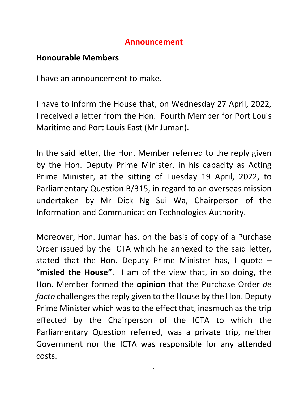## **Announcement**

# **Honourable Members**

I have an announcement to make.

I have to inform the House that, on Wednesday 27 April, 2022, I received a letter from the Hon. Fourth Member for Port Louis Maritime and Port Louis East (Mr Juman).

In the said letter, the Hon. Member referred to the reply given by the Hon. Deputy Prime Minister, in his capacity as Acting Prime Minister, at the sitting of Tuesday 19 April, 2022, to Parliamentary Question B/315, in regard to an overseas mission undertaken by Mr Dick Ng Sui Wa, Chairperson of the Information and Communication Technologies Authority.

Moreover, Hon. Juman has, on the basis of copy of a Purchase Order issued by the ICTA which he annexed to the said letter, stated that the Hon. Deputy Prime Minister has, I quote – "**misled the House"**. I am of the view that, in so doing, the Hon. Member formed the **opinion** that the Purchase Order *de facto* challenges the reply given to the House by the Hon. Deputy Prime Minister which was to the effect that, inasmuch as the trip effected by the Chairperson of the ICTA to which the Parliamentary Question referred, was a private trip, neither Government nor the ICTA was responsible for any attended costs.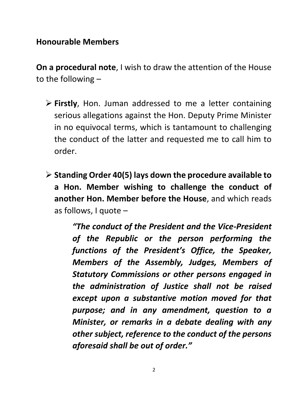#### **Honourable Members**

**On a procedural note**, I wish to draw the attention of the House to the following –

- **Firstly**, Hon. Juman addressed to me a letter containing serious allegations against the Hon. Deputy Prime Minister in no equivocal terms, which is tantamount to challenging the conduct of the latter and requested me to call him to order.
- **Standing Order 40(5) lays down the procedure available to a Hon. Member wishing to challenge the conduct of another Hon. Member before the House**, and which reads as follows, I quote –

*"The conduct of the President and the Vice-President of the Republic or the person performing the functions of the President's Office, the Speaker, Members of the Assembly, Judges, Members of Statutory Commissions or other persons engaged in the administration of Justice shall not be raised except upon a substantive motion moved for that purpose; and in any amendment, question to a Minister, or remarks in a debate dealing with any other subject, reference to the conduct of the persons aforesaid shall be out of order."*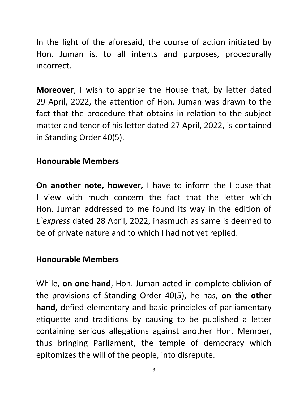In the light of the aforesaid, the course of action initiated by Hon. Juman is, to all intents and purposes, procedurally incorrect.

**Moreover**, I wish to apprise the House that, by letter dated 29 April, 2022, the attention of Hon. Juman was drawn to the fact that the procedure that obtains in relation to the subject matter and tenor of his letter dated 27 April, 2022, is contained in Standing Order 40(5).

### **Honourable Members**

**On another note, however,** I have to inform the House that I view with much concern the fact that the letter which Hon. Juman addressed to me found its way in the edition of *L`express* dated 28 April, 2022, inasmuch as same is deemed to be of private nature and to which I had not yet replied.

#### **Honourable Members**

While, **on one hand**, Hon. Juman acted in complete oblivion of the provisions of Standing Order 40(5), he has, **on the other hand**, defied elementary and basic principles of parliamentary etiquette and traditions by causing to be published a letter containing serious allegations against another Hon. Member, thus bringing Parliament, the temple of democracy which epitomizes the will of the people, into disrepute.